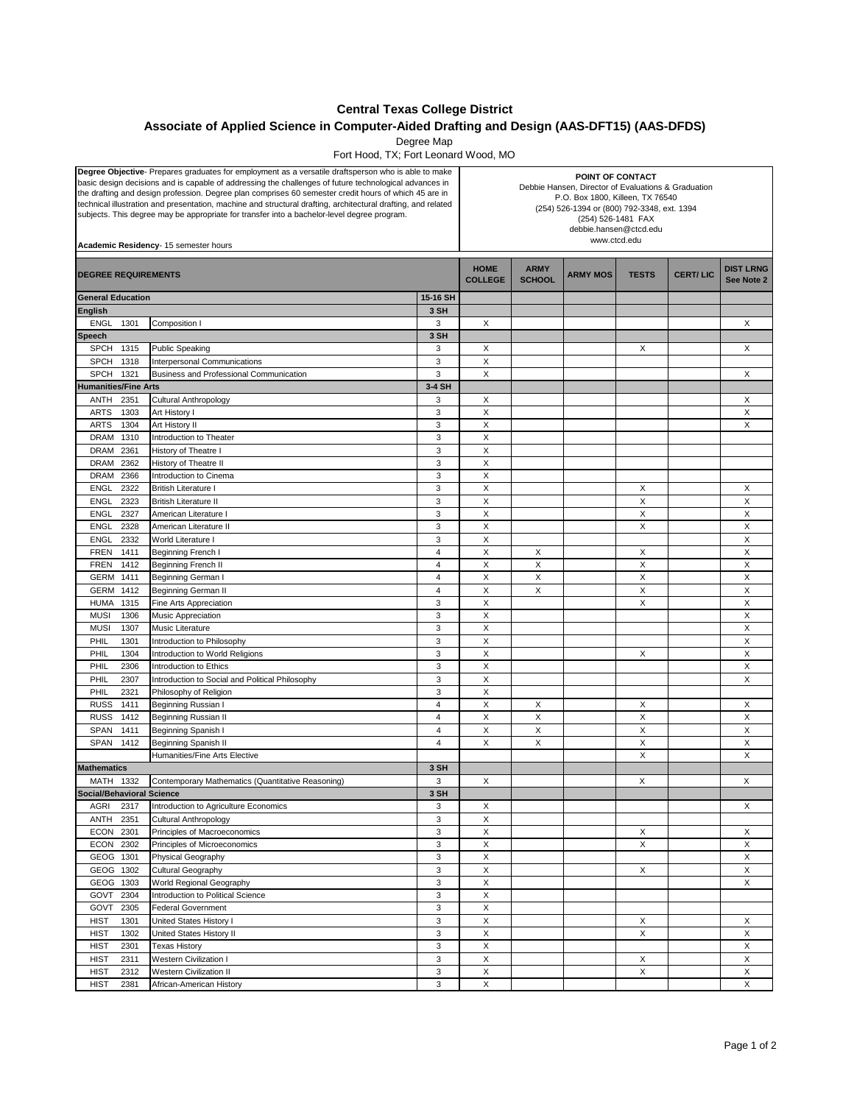## **Central Texas College District**

## **Associate of Applied Science in Computer-Aided Drafting and Design (AAS-DFT15) (AAS-DFDS)**

Degree Map

Fort Hood, TX; Fort Leonard Wood, MO

| Degree Objective- Prepares graduates for employment as a versatile draftsperson who is able to make<br>basic design decisions and is capable of addressing the challenges of future technological advances in<br>the drafting and design profession. Degree plan comprises 60 semester credit hours of which 45 are in<br>technical illustration and presentation, machine and structural drafting, architectural drafting, and related<br>subjects. This degree may be appropriate for transfer into a bachelor-level degree program.<br>Academic Residency- 15 semester hours |                                                   |                | POINT OF CONTACT<br>Debbie Hansen, Director of Evaluations & Graduation<br>P.O. Box 1800, Killeen, TX 76540<br>(254) 526-1394 or (800) 792-3348, ext. 1394<br>(254) 526-1481 FAX<br>debbie.hansen@ctcd.edu<br>www.ctcd.edu |                              |                 |              |                 |                                |
|---------------------------------------------------------------------------------------------------------------------------------------------------------------------------------------------------------------------------------------------------------------------------------------------------------------------------------------------------------------------------------------------------------------------------------------------------------------------------------------------------------------------------------------------------------------------------------|---------------------------------------------------|----------------|----------------------------------------------------------------------------------------------------------------------------------------------------------------------------------------------------------------------------|------------------------------|-----------------|--------------|-----------------|--------------------------------|
| <b>DEGREE REQUIREMENTS</b>                                                                                                                                                                                                                                                                                                                                                                                                                                                                                                                                                      |                                                   |                | <b>HOME</b><br><b>COLLEGE</b>                                                                                                                                                                                              | <b>ARMY</b><br><b>SCHOOL</b> | <b>ARMY MOS</b> | <b>TESTS</b> | <b>CERT/LIC</b> | <b>DIST LRNG</b><br>See Note 2 |
| <b>General Education</b>                                                                                                                                                                                                                                                                                                                                                                                                                                                                                                                                                        |                                                   | 15-16 SH       |                                                                                                                                                                                                                            |                              |                 |              |                 |                                |
| <b>English</b>                                                                                                                                                                                                                                                                                                                                                                                                                                                                                                                                                                  |                                                   | 3 SH           |                                                                                                                                                                                                                            |                              |                 |              |                 |                                |
| <b>ENGL</b><br>1301                                                                                                                                                                                                                                                                                                                                                                                                                                                                                                                                                             | Composition I                                     | 3              | X                                                                                                                                                                                                                          |                              |                 |              |                 | X                              |
| <b>Speech</b>                                                                                                                                                                                                                                                                                                                                                                                                                                                                                                                                                                   |                                                   | 3 SH           |                                                                                                                                                                                                                            |                              |                 |              |                 |                                |
| <b>SPCH</b><br>1315                                                                                                                                                                                                                                                                                                                                                                                                                                                                                                                                                             | <b>Public Speaking</b>                            | 3              | X                                                                                                                                                                                                                          |                              |                 | X            |                 | X                              |
| SPCH<br>1318                                                                                                                                                                                                                                                                                                                                                                                                                                                                                                                                                                    | <b>Interpersonal Communications</b>               | 3              | Χ                                                                                                                                                                                                                          |                              |                 |              |                 |                                |
| SPCH 1321                                                                                                                                                                                                                                                                                                                                                                                                                                                                                                                                                                       | Business and Professional Communication           | 3              | X                                                                                                                                                                                                                          |                              |                 |              |                 | X                              |
| <b>Humanities/Fine Arts</b>                                                                                                                                                                                                                                                                                                                                                                                                                                                                                                                                                     |                                                   | 3-4 SH         |                                                                                                                                                                                                                            |                              |                 |              |                 |                                |
| ANTH<br>2351                                                                                                                                                                                                                                                                                                                                                                                                                                                                                                                                                                    | Cultural Anthropology                             | 3              | Х                                                                                                                                                                                                                          |                              |                 |              |                 | Х                              |
| <b>ARTS</b><br>1303                                                                                                                                                                                                                                                                                                                                                                                                                                                                                                                                                             | Art History I                                     | 3<br>3         | X                                                                                                                                                                                                                          |                              |                 |              |                 | X                              |
| <b>ARTS</b><br>1304<br>DRAM                                                                                                                                                                                                                                                                                                                                                                                                                                                                                                                                                     | Art History II                                    | 3              | X<br>X                                                                                                                                                                                                                     |                              |                 |              |                 | X                              |
| 1310<br>2361<br>DRAM                                                                                                                                                                                                                                                                                                                                                                                                                                                                                                                                                            | Introduction to Theater                           | 3              | X                                                                                                                                                                                                                          |                              |                 |              |                 |                                |
| DRAM<br>2362                                                                                                                                                                                                                                                                                                                                                                                                                                                                                                                                                                    | History of Theatre I<br>History of Theatre II     | 3              | X                                                                                                                                                                                                                          |                              |                 |              |                 |                                |
| 2366<br>DRAM                                                                                                                                                                                                                                                                                                                                                                                                                                                                                                                                                                    | <b>Introduction to Cinema</b>                     | 3              | X                                                                                                                                                                                                                          |                              |                 |              |                 |                                |
| 2322<br><b>ENGL</b>                                                                                                                                                                                                                                                                                                                                                                                                                                                                                                                                                             | <b>British Literature I</b>                       | 3              | X                                                                                                                                                                                                                          |                              |                 | X            |                 | X                              |
| 2323<br>ENGL                                                                                                                                                                                                                                                                                                                                                                                                                                                                                                                                                                    | <b>British Literature II</b>                      | 3              | X                                                                                                                                                                                                                          |                              |                 | X            |                 | X                              |
| 2327<br><b>ENGL</b>                                                                                                                                                                                                                                                                                                                                                                                                                                                                                                                                                             | American Literature I                             | 3              | X                                                                                                                                                                                                                          |                              |                 | X            |                 | X                              |
| 2328<br><b>ENGL</b>                                                                                                                                                                                                                                                                                                                                                                                                                                                                                                                                                             | American Literature II                            | 3              | X                                                                                                                                                                                                                          |                              |                 | X            |                 | X                              |
| 2332<br><b>ENGL</b>                                                                                                                                                                                                                                                                                                                                                                                                                                                                                                                                                             | World Literature I                                | 3              | X                                                                                                                                                                                                                          |                              |                 |              |                 | X                              |
| <b>FREN</b><br>1411                                                                                                                                                                                                                                                                                                                                                                                                                                                                                                                                                             | Beginning French I                                | $\overline{4}$ | X                                                                                                                                                                                                                          | X                            |                 | X            |                 | X                              |
| <b>FREN</b><br>1412                                                                                                                                                                                                                                                                                                                                                                                                                                                                                                                                                             | Beginning French II                               | $\overline{4}$ | $\mathsf X$                                                                                                                                                                                                                | $\pmb{\times}$               |                 | Χ            |                 | X                              |
| GERM 1411                                                                                                                                                                                                                                                                                                                                                                                                                                                                                                                                                                       | Beginning German I                                | 4              | X                                                                                                                                                                                                                          | X                            |                 | X            |                 | X                              |
| GERM 1412                                                                                                                                                                                                                                                                                                                                                                                                                                                                                                                                                                       | Beginning German II                               | $\overline{4}$ | X                                                                                                                                                                                                                          | X                            |                 | X            |                 | X                              |
| <b>HUMA</b><br>1315                                                                                                                                                                                                                                                                                                                                                                                                                                                                                                                                                             | Fine Arts Appreciation                            | 3              | X                                                                                                                                                                                                                          |                              |                 | X            |                 | X                              |
| <b>MUSI</b><br>1306                                                                                                                                                                                                                                                                                                                                                                                                                                                                                                                                                             | Music Appreciation                                | 3              | X                                                                                                                                                                                                                          |                              |                 |              |                 | X                              |
| <b>MUSI</b><br>1307                                                                                                                                                                                                                                                                                                                                                                                                                                                                                                                                                             | Music Literature                                  | 3              | X                                                                                                                                                                                                                          |                              |                 |              |                 | X                              |
| PHIL<br>1301                                                                                                                                                                                                                                                                                                                                                                                                                                                                                                                                                                    | Introduction to Philosophy                        | 3              | X                                                                                                                                                                                                                          |                              |                 |              |                 | X                              |
| PHIL<br>1304                                                                                                                                                                                                                                                                                                                                                                                                                                                                                                                                                                    | Introduction to World Religions                   | 3              | X                                                                                                                                                                                                                          |                              |                 | X            |                 | X                              |
| PHIL<br>2306                                                                                                                                                                                                                                                                                                                                                                                                                                                                                                                                                                    | Introduction to Ethics                            | 3              | X                                                                                                                                                                                                                          |                              |                 |              |                 | X                              |
| PHIL<br>2307                                                                                                                                                                                                                                                                                                                                                                                                                                                                                                                                                                    | Introduction to Social and Political Philosophy   | 3              | X                                                                                                                                                                                                                          |                              |                 |              |                 | X                              |
| 2321<br>PHIL                                                                                                                                                                                                                                                                                                                                                                                                                                                                                                                                                                    | Philosophy of Religion                            | 3              | X                                                                                                                                                                                                                          |                              |                 |              |                 |                                |
| <b>RUSS</b><br>1411                                                                                                                                                                                                                                                                                                                                                                                                                                                                                                                                                             | Beginning Russian I                               | $\overline{4}$ | $\mathsf X$                                                                                                                                                                                                                | X                            |                 | X            |                 | X                              |
| <b>RUSS</b><br>1412                                                                                                                                                                                                                                                                                                                                                                                                                                                                                                                                                             | Beginning Russian II                              | 4              | X                                                                                                                                                                                                                          | X                            |                 | X            |                 | X                              |
| <b>SPAN</b><br>1411                                                                                                                                                                                                                                                                                                                                                                                                                                                                                                                                                             | Beginning Spanish I                               | 4              | X                                                                                                                                                                                                                          | X                            |                 | X            |                 | X                              |
| SPAN 1412                                                                                                                                                                                                                                                                                                                                                                                                                                                                                                                                                                       | Beginning Spanish II                              | $\overline{4}$ | X                                                                                                                                                                                                                          | X                            |                 | X            |                 | X                              |
|                                                                                                                                                                                                                                                                                                                                                                                                                                                                                                                                                                                 | Humanities/Fine Arts Elective                     |                |                                                                                                                                                                                                                            |                              |                 | X            |                 | X                              |
| <b>Mathematics</b>                                                                                                                                                                                                                                                                                                                                                                                                                                                                                                                                                              |                                                   | 3 SH           |                                                                                                                                                                                                                            |                              |                 |              |                 |                                |
| MATH 1332                                                                                                                                                                                                                                                                                                                                                                                                                                                                                                                                                                       | Contemporary Mathematics (Quantitative Reasoning) | 3              | X                                                                                                                                                                                                                          |                              |                 | Х            |                 | Χ                              |
| Social/Behavioral Science                                                                                                                                                                                                                                                                                                                                                                                                                                                                                                                                                       |                                                   | 3 SH           |                                                                                                                                                                                                                            |                              |                 |              |                 |                                |
| AGRI<br>2317                                                                                                                                                                                                                                                                                                                                                                                                                                                                                                                                                                    | Introduction to Agriculture Economics             | 3              | X                                                                                                                                                                                                                          |                              |                 |              |                 | X                              |
| 2351<br>ANTH                                                                                                                                                                                                                                                                                                                                                                                                                                                                                                                                                                    | <b>Cultural Anthropology</b>                      | 3              | X                                                                                                                                                                                                                          |                              |                 |              |                 |                                |
| ECON 2301                                                                                                                                                                                                                                                                                                                                                                                                                                                                                                                                                                       | Principles of Macroeconomics                      | 3              | X                                                                                                                                                                                                                          |                              |                 | X            |                 | X                              |
| ECON 2302                                                                                                                                                                                                                                                                                                                                                                                                                                                                                                                                                                       | Principles of Microeconomics                      | 3              | X                                                                                                                                                                                                                          |                              |                 | X            |                 | X                              |
| GEOG 1301                                                                                                                                                                                                                                                                                                                                                                                                                                                                                                                                                                       | Physical Geography                                | 3              | $\overline{\mathsf{x}}$                                                                                                                                                                                                    |                              |                 |              |                 | X                              |
| GEOG 1302                                                                                                                                                                                                                                                                                                                                                                                                                                                                                                                                                                       | Cultural Geography                                | 3              | $\pmb{\mathsf{X}}$                                                                                                                                                                                                         |                              |                 | X            |                 | X                              |
| GEOG 1303                                                                                                                                                                                                                                                                                                                                                                                                                                                                                                                                                                       | World Regional Geography                          | 3              | X                                                                                                                                                                                                                          |                              |                 |              |                 | X                              |
| GOVT<br>2304                                                                                                                                                                                                                                                                                                                                                                                                                                                                                                                                                                    | Introduction to Political Science                 | 3              | X                                                                                                                                                                                                                          |                              |                 |              |                 |                                |
| 2305<br>GOVT                                                                                                                                                                                                                                                                                                                                                                                                                                                                                                                                                                    | <b>Federal Government</b>                         | 3              | $\mathsf X$                                                                                                                                                                                                                |                              |                 |              |                 |                                |
| <b>HIST</b><br>1301                                                                                                                                                                                                                                                                                                                                                                                                                                                                                                                                                             | United States History I                           | 3              | X                                                                                                                                                                                                                          |                              |                 | X            |                 | X                              |
| <b>HIST</b><br>1302                                                                                                                                                                                                                                                                                                                                                                                                                                                                                                                                                             | United States History II<br><b>Texas History</b>  | 3<br>3         | X<br>$\mathsf X$                                                                                                                                                                                                           |                              |                 | X            |                 | X                              |
| <b>HIST</b><br>2301<br><b>HIST</b><br>2311                                                                                                                                                                                                                                                                                                                                                                                                                                                                                                                                      | <b>Western Civilization I</b>                     | 3              | X                                                                                                                                                                                                                          |                              |                 | X            |                 | X<br>X                         |
| <b>HIST</b><br>2312                                                                                                                                                                                                                                                                                                                                                                                                                                                                                                                                                             | <b>Western Civilization II</b>                    | 3              | X                                                                                                                                                                                                                          |                              |                 | X            |                 | X                              |
|                                                                                                                                                                                                                                                                                                                                                                                                                                                                                                                                                                                 |                                                   | 3              |                                                                                                                                                                                                                            |                              |                 |              |                 |                                |
| <b>HIST</b><br>2381                                                                                                                                                                                                                                                                                                                                                                                                                                                                                                                                                             | African-American History                          |                | X                                                                                                                                                                                                                          |                              |                 |              |                 | X                              |